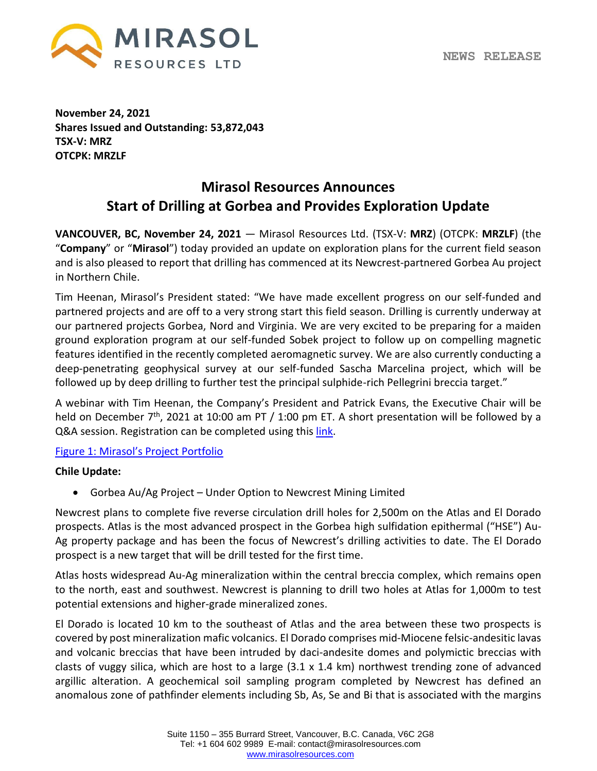

**November 24, 2021 Shares Issued and Outstanding: 53,872,043 TSX-V: MRZ OTCPK: MRZLF**

# **Mirasol Resources Announces Start of Drilling at Gorbea and Provides Exploration Update**

**VANCOUVER, BC, November 24, 2021** — Mirasol Resources Ltd. (TSX-V: **MRZ**) (OTCPK: **MRZLF**) (the "**Company**" or "**Mirasol**") today provided an update on exploration plans for the current field season and is also pleased to report that drilling has commenced at its Newcrest-partnered Gorbea Au project in Northern Chile.

Tim Heenan, Mirasol's President stated: "We have made excellent progress on our self-funded and partnered projects and are off to a very strong start this field season. Drilling is currently underway at our partnered projects Gorbea, Nord and Virginia. We are very excited to be preparing for a maiden ground exploration program at our self-funded Sobek project to follow up on compelling magnetic features identified in the recently completed aeromagnetic survey. We are also currently conducting a deep-penetrating geophysical survey at our self-funded Sascha Marcelina project, which will be followed up by deep drilling to further test the principal sulphide-rich Pellegrini breccia target."

A webinar with Tim Heenan, the Company's President and Patrick Evans, the Executive Chair will be held on December 7<sup>th</sup>, 2021 at 10:00 am PT / 1:00 pm ET. A short presentation will be followed by a Q&A session. Registration can be completed using this [link.](https://teams.microsoft.com/registration/xiPdHxBlF0WOrlltepWLUw,WESJZlvmrUqL_IjMPQN6fg,3VN22GBMY0Sd_Px2u9buQw,ZDM-scPYbkGaV6ZIP5AKwg,9H14YhddAkWd0Bko4E0tFA,Km7Nwj_qs0yrrioUdeBUHg?mode=read&tenantId=1fdd23c6-6510-4517-8eae-596d7a958b53)

[Figure 1: Mirasol](https://mirasolresources.com/site/assets/files/4448/mirasol_projects_overview_2021-11-23-01.jpg)'s Project Portfolio

#### **Chile Update:**

• Gorbea Au/Ag Project – Under Option to Newcrest Mining Limited

Newcrest plans to complete five reverse circulation drill holes for 2,500m on the Atlas and El Dorado prospects. Atlas is the most advanced prospect in the Gorbea high sulfidation epithermal ("HSE") Au-Ag property package and has been the focus of Newcrest's drilling activities to date. The El Dorado prospect is a new target that will be drill tested for the first time.

Atlas hosts widespread Au-Ag mineralization within the central breccia complex, which remains open to the north, east and southwest. Newcrest is planning to drill two holes at Atlas for 1,000m to test potential extensions and higher-grade mineralized zones.

El Dorado is located 10 km to the southeast of Atlas and the area between these two prospects is covered by post mineralization mafic volcanics. El Dorado comprises mid-Miocene felsic-andesitic lavas and volcanic breccias that have been intruded by daci-andesite domes and polymictic breccias with clasts of vuggy silica, which are host to a large  $(3.1 \times 1.4 \text{ km})$  northwest trending zone of advanced argillic alteration. A geochemical soil sampling program completed by Newcrest has defined an anomalous zone of pathfinder elements including Sb, As, Se and Bi that is associated with the margins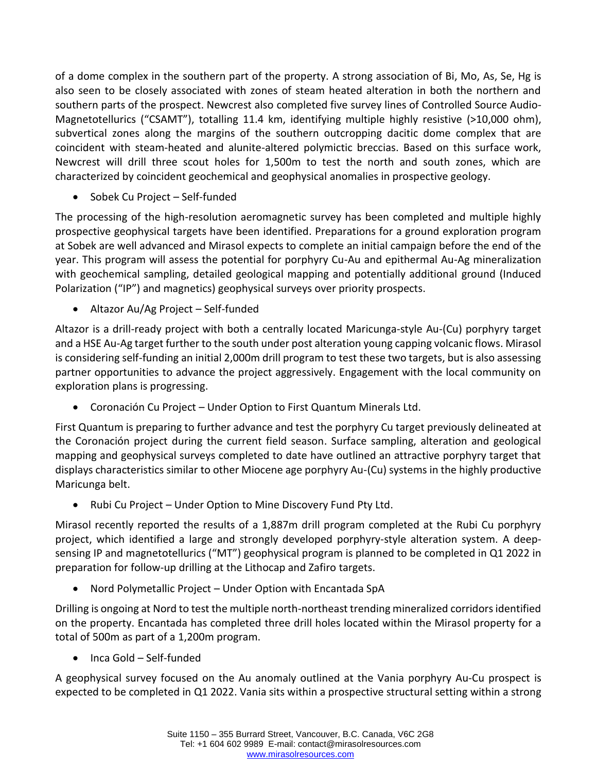of a dome complex in the southern part of the property. A strong association of Bi, Mo, As, Se, Hg is also seen to be closely associated with zones of steam heated alteration in both the northern and southern parts of the prospect. Newcrest also completed five survey lines of Controlled Source Audio-Magnetotellurics ("CSAMT"), totalling 11.4 km, identifying multiple highly resistive (>10,000 ohm), subvertical zones along the margins of the southern outcropping dacitic dome complex that are coincident with steam-heated and alunite-altered polymictic breccias. Based on this surface work, Newcrest will drill three scout holes for 1,500m to test the north and south zones, which are characterized by coincident geochemical and geophysical anomalies in prospective geology.

• Sobek Cu Project – Self-funded

The processing of the high-resolution aeromagnetic survey has been completed and multiple highly prospective geophysical targets have been identified. Preparations for a ground exploration program at Sobek are well advanced and Mirasol expects to complete an initial campaign before the end of the year. This program will assess the potential for porphyry Cu-Au and epithermal Au-Ag mineralization with geochemical sampling, detailed geological mapping and potentially additional ground (Induced Polarization ("IP") and magnetics) geophysical surveys over priority prospects.

• Altazor Au/Ag Project – Self-funded

Altazor is a drill-ready project with both a centrally located Maricunga-style Au-(Cu) porphyry target and a HSE Au-Ag target further to the south under post alteration young capping volcanic flows. Mirasol is considering self-funding an initial 2,000m drill program to test these two targets, but is also assessing partner opportunities to advance the project aggressively. Engagement with the local community on exploration plans is progressing.

• Coronación Cu Project – Under Option to First Quantum Minerals Ltd.

First Quantum is preparing to further advance and test the porphyry Cu target previously delineated at the Coronación project during the current field season. Surface sampling, alteration and geological mapping and geophysical surveys completed to date have outlined an attractive porphyry target that displays characteristics similar to other Miocene age porphyry Au-(Cu) systems in the highly productive Maricunga belt.

• Rubi Cu Project – Under Option to Mine Discovery Fund Pty Ltd.

Mirasol recently reported the results of a 1,887m drill program completed at the Rubi Cu porphyry project, which identified a large and strongly developed porphyry-style alteration system. A deepsensing IP and magnetotellurics ("MT") geophysical program is planned to be completed in Q1 2022 in preparation for follow-up drilling at the Lithocap and Zafiro targets.

• Nord Polymetallic Project – Under Option with Encantada SpA

Drilling is ongoing at Nord to test the multiple north-northeast trending mineralized corridors identified on the property. Encantada has completed three drill holes located within the Mirasol property for a total of 500m as part of a 1,200m program.

• Inca Gold – Self-funded

A geophysical survey focused on the Au anomaly outlined at the Vania porphyry Au-Cu prospect is expected to be completed in Q1 2022. Vania sits within a prospective structural setting within a strong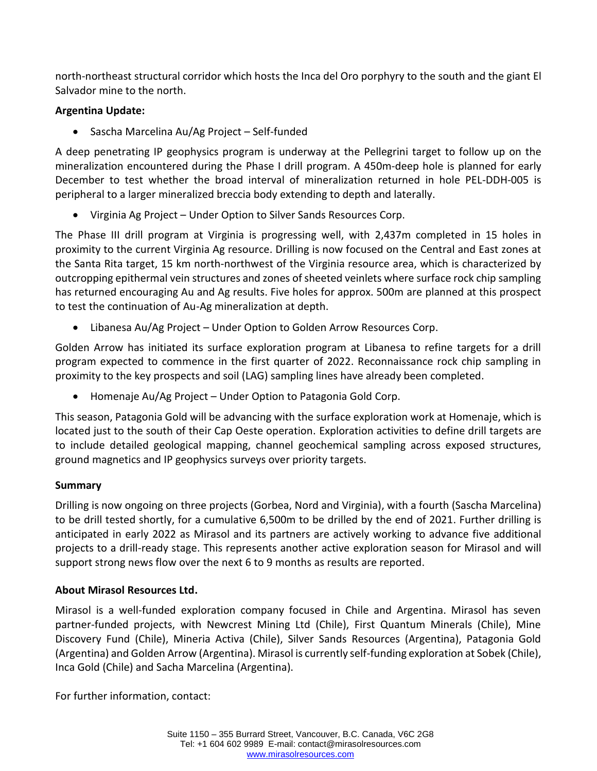north-northeast structural corridor which hosts the Inca del Oro porphyry to the south and the giant El Salvador mine to the north.

### **Argentina Update:**

• Sascha Marcelina Au/Ag Project – Self-funded

A deep penetrating IP geophysics program is underway at the Pellegrini target to follow up on the mineralization encountered during the Phase I drill program. A 450m-deep hole is planned for early December to test whether the broad interval of mineralization returned in hole PEL-DDH-005 is peripheral to a larger mineralized breccia body extending to depth and laterally.

• Virginia Ag Project – Under Option to Silver Sands Resources Corp.

The Phase III drill program at Virginia is progressing well, with 2,437m completed in 15 holes in proximity to the current Virginia Ag resource. Drilling is now focused on the Central and East zones at the Santa Rita target, 15 km north-northwest of the Virginia resource area, which is characterized by outcropping epithermal vein structures and zones of sheeted veinlets where surface rock chip sampling has returned encouraging Au and Ag results. Five holes for approx. 500m are planned at this prospect to test the continuation of Au-Ag mineralization at depth.

• Libanesa Au/Ag Project – Under Option to Golden Arrow Resources Corp.

Golden Arrow has initiated its surface exploration program at Libanesa to refine targets for a drill program expected to commence in the first quarter of 2022. Reconnaissance rock chip sampling in proximity to the key prospects and soil (LAG) sampling lines have already been completed.

• Homenaje Au/Ag Project – Under Option to Patagonia Gold Corp.

This season, Patagonia Gold will be advancing with the surface exploration work at Homenaje, which is located just to the south of their Cap Oeste operation. Exploration activities to define drill targets are to include detailed geological mapping, channel geochemical sampling across exposed structures, ground magnetics and IP geophysics surveys over priority targets.

# **Summary**

Drilling is now ongoing on three projects (Gorbea, Nord and Virginia), with a fourth (Sascha Marcelina) to be drill tested shortly, for a cumulative 6,500m to be drilled by the end of 2021. Further drilling is anticipated in early 2022 as Mirasol and its partners are actively working to advance five additional projects to a drill-ready stage. This represents another active exploration season for Mirasol and will support strong news flow over the next 6 to 9 months as results are reported.

# **About Mirasol Resources Ltd.**

Mirasol is a well-funded exploration company focused in Chile and Argentina. Mirasol has seven partner-funded projects, with Newcrest Mining Ltd (Chile), First Quantum Minerals (Chile), Mine Discovery Fund (Chile), Mineria Activa (Chile), Silver Sands Resources (Argentina), Patagonia Gold (Argentina) and Golden Arrow (Argentina). Mirasol is currently self-funding exploration at Sobek (Chile), Inca Gold (Chile) and Sacha Marcelina (Argentina).

For further information, contact: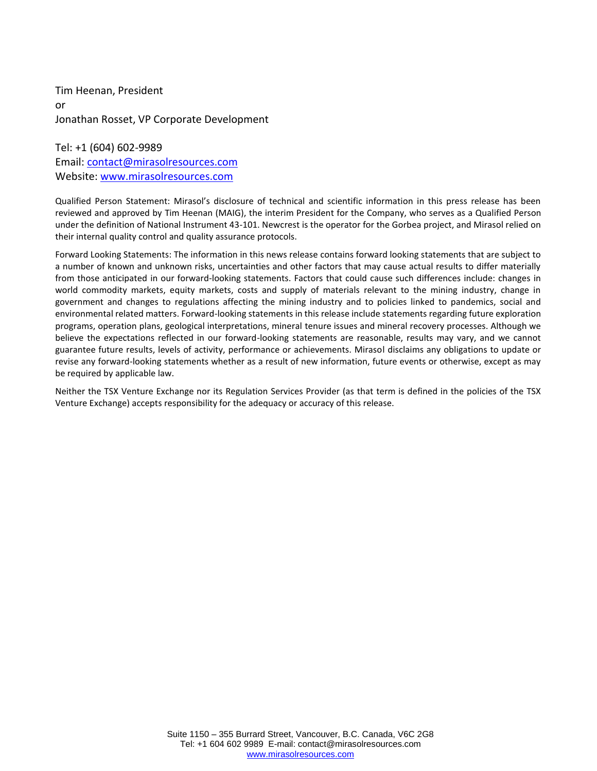Tim Heenan, President or Jonathan Rosset, VP Corporate Development

Tel: +1 (604) 602-9989 Email: [contact@mirasolresources.com](mailto:contact@mirasolresources.com) Website: [www.mirasolresources.com](http://www.mirasolresources.com/)

Qualified Person Statement: Mirasol's disclosure of technical and scientific information in this press release has been reviewed and approved by Tim Heenan (MAIG), the interim President for the Company, who serves as a Qualified Person under the definition of National Instrument 43-101. Newcrest is the operator for the Gorbea project, and Mirasol relied on their internal quality control and quality assurance protocols.

Forward Looking Statements: The information in this news release contains forward looking statements that are subject to a number of known and unknown risks, uncertainties and other factors that may cause actual results to differ materially from those anticipated in our forward-looking statements. Factors that could cause such differences include: changes in world commodity markets, equity markets, costs and supply of materials relevant to the mining industry, change in government and changes to regulations affecting the mining industry and to policies linked to pandemics, social and environmental related matters. Forward-looking statements in this release include statements regarding future exploration programs, operation plans, geological interpretations, mineral tenure issues and mineral recovery processes. Although we believe the expectations reflected in our forward-looking statements are reasonable, results may vary, and we cannot guarantee future results, levels of activity, performance or achievements. Mirasol disclaims any obligations to update or revise any forward-looking statements whether as a result of new information, future events or otherwise, except as may be required by applicable law.

Neither the TSX Venture Exchange nor its Regulation Services Provider (as that term is defined in the policies of the TSX Venture Exchange) accepts responsibility for the adequacy or accuracy of this release.